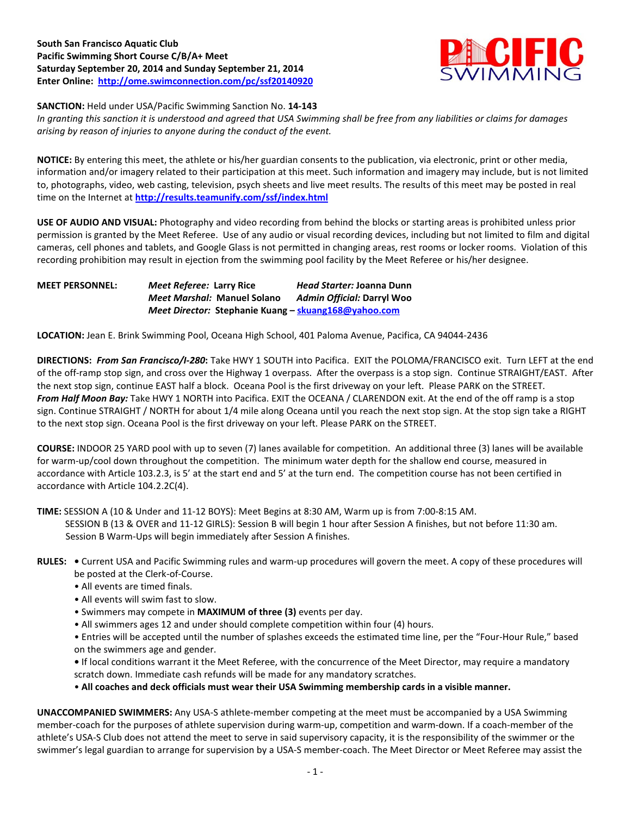## **South San Francisco Aquatic Club Pacific Swimming Short Course C/B/A+ Meet Saturday September 20, 2014 and Sunday September 21, 2014 Enter Online: <http://ome.swimconnection.com/pc/ssf20140920>**



**SANCTION:** Held under USA/Pacific Swimming Sanction No. **14-143**

*In granting this sanction it is understood and agreed that USA Swimming shall be free from any liabilities or claims for damages arising by reason of injuries to anyone during the conduct of the event.*

**NOTICE:** By entering this meet, the athlete or his/her guardian consents to the publication, via electronic, print or other media, information and/or imagery related to their participation at this meet. Such information and imagery may include, but is not limited to, photographs, video, web casting, television, psych sheets and live meet results. The results of this meet may be posted in real time on the Internet at **<http://results.teamunify.com/ssf/index.html>**

**USE OF AUDIO AND VISUAL:** Photography and video recording from behind the blocks or starting areas is prohibited unless prior permission is granted by the Meet Referee. Use of any audio or visual recording devices, including but not limited to film and digital cameras, cell phones and tablets, and Google Glass is not permitted in changing areas, rest rooms or locker rooms. Violation of this recording prohibition may result in ejection from the swimming pool facility by the Meet Referee or his/her designee.

**MEET PERSONNEL:** *Meet Referee:* **Larry Rice** *Head Starter:* **Joanna Dunn** *Meet Marshal:* **Manuel Solano** *Admin Official:* **Darryl Woo** *Meet Director:* **Stephanie Kuang – [skuang168@yahoo.com](mailto:skuang168@yahoo.com)** 

**LOCATION:** Jean E. Brink Swimming Pool, Oceana High School, 401 Paloma Avenue, Pacifica, CA 94044-2436

**DIRECTIONS:** *From San Francisco/I-280***:** Take HWY 1 SOUTH into Pacifica. EXIT the POLOMA/FRANCISCO exit. Turn LEFT at the end of the off-ramp stop sign, and cross over the Highway 1 overpass. After the overpass is a stop sign. Continue STRAIGHT/EAST. After the next stop sign, continue EAST half a block. Oceana Pool is the first driveway on your left. Please PARK on the STREET. *From Half Moon Bay:* Take HWY 1 NORTH into Pacifica. EXIT the OCEANA / CLARENDON exit. At the end of the off ramp is a stop sign. Continue STRAIGHT / NORTH for about 1/4 mile along Oceana until you reach the next stop sign. At the stop sign take a RIGHT to the next stop sign. Oceana Pool is the first driveway on your left. Please PARK on the STREET.

**COURSE:** INDOOR 25 YARD pool with up to seven (7) lanes available for competition.An additional three (3) lanes will be available for warm-up/cool down throughout the competition. The minimum water depth for the shallow end course, measured in accordance with Article 103.2.3, is 5' at the start end and 5' at the turn end. The competition course has not been certified in accordance with Article 104.2.2C(4).

**TIME:** SESSION A (10 & Under and 11-12 BOYS): Meet Begins at 8:30 AM, Warm up is from 7:00-8:15 AM.

 SESSION B (13 & OVER and 11-12 GIRLS): Session B will begin 1 hour after Session A finishes, but not before 11:30 am. Session B Warm-Ups will begin immediately after Session A finishes.

- **RULES:** Current USA and Pacific Swimming rules and warm-up procedures will govern the meet. A copy of these procedures will be posted at the Clerk-of-Course.
	- All events are timed finals.
	- All events will swim fast to slow.
	- Swimmers may compete in **MAXIMUM of three (3)** events per day.
	- All swimmers ages 12 and under should complete competition within four (4) hours.
	- Entries will be accepted until the number of splashes exceeds the estimated time line, per the "Four-Hour Rule," based on the swimmers age and gender.
	- If local conditions warrant it the Meet Referee, with the concurrence of the Meet Director, may require a mandatory scratch down. Immediate cash refunds will be made for any mandatory scratches.

• **All coaches and deck officials must wear their USA Swimming membership cards in a visible manner.** 

**UNACCOMPANIED SWIMMERS:** Any USA-S athlete-member competing at the meet must be accompanied by a USA Swimming member-coach for the purposes of athlete supervision during warm-up, competition and warm-down. If a coach-member of the athlete's USA-S Club does not attend the meet to serve in said supervisory capacity, it is the responsibility of the swimmer or the swimmer's legal guardian to arrange for supervision by a USA-S member-coach. The Meet Director or Meet Referee may assist the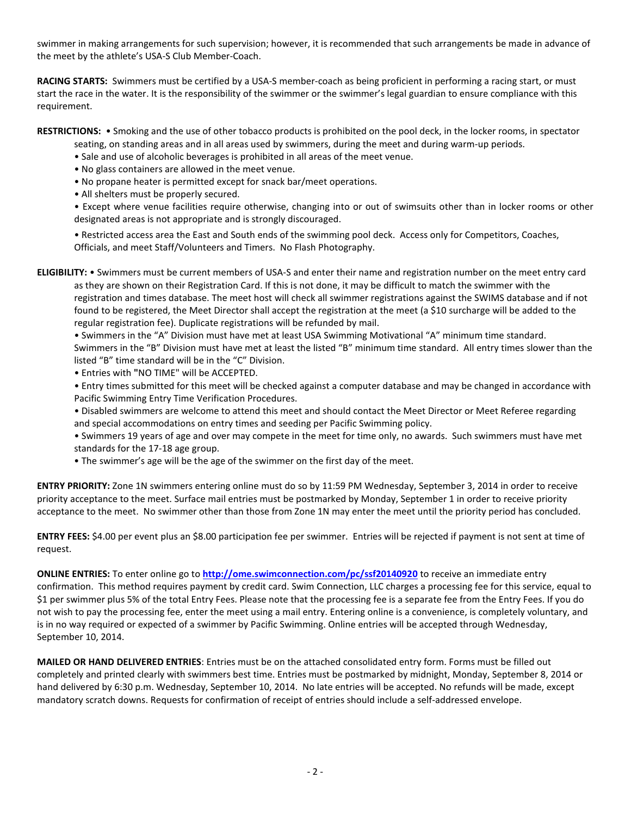swimmer in making arrangements for such supervision; however, it is recommended that such arrangements be made in advance of the meet by the athlete's USA-S Club Member-Coach.

**RACING STARTS:** Swimmers must be certified by a USA-S member-coach as being proficient in performing a racing start, or must start the race in the water. It is the responsibility of the swimmer or the swimmer's legal guardian to ensure compliance with this requirement.

**RESTRICTIONS:** • Smoking and the use of other tobacco products is prohibited on the pool deck, in the locker rooms, in spectator

- seating, on standing areas and in all areas used by swimmers, during the meet and during warm-up periods.
- Sale and use of alcoholic beverages is prohibited in all areas of the meet venue.
- No glass containers are allowed in the meet venue.
- No propane heater is permitted except for snack bar/meet operations.
- All shelters must be properly secured.

• Except where venue facilities require otherwise, changing into or out of swimsuits other than in locker rooms or other designated areas is not appropriate and is strongly discouraged.

• Restricted access area the East and South ends of the swimming pool deck. Access only for Competitors, Coaches, Officials, and meet Staff/Volunteers and Timers. No Flash Photography.

**ELIGIBILITY:** • Swimmers must be current members of USA-S and enter their name and registration number on the meet entry card as they are shown on their Registration Card. If this is not done, it may be difficult to match the swimmer with the registration and times database. The meet host will check all swimmer registrations against the SWIMS database and if not found to be registered, the Meet Director shall accept the registration at the meet (a \$10 surcharge will be added to the regular registration fee). Duplicate registrations will be refunded by mail.

• Swimmers in the "A" Division must have met at least USA Swimming Motivational "A" minimum time standard. Swimmers in the "B" Division must have met at least the listed "B" minimum time standard. All entry times slower than the listed "B" time standard will be in the "C" Division.

- Entries with **"**NO TIME" will be ACCEPTED.
- Entry times submitted for this meet will be checked against a computer database and may be changed in accordance with Pacific Swimming Entry Time Verification Procedures.
- Disabled swimmers are welcome to attend this meet and should contact the Meet Director or Meet Referee regarding and special accommodations on entry times and seeding per Pacific Swimming policy.
- Swimmers 19 years of age and over may compete in the meet for time only, no awards. Such swimmers must have met standards for the 17-18 age group.
- The swimmer's age will be the age of the swimmer on the first day of the meet.

**ENTRY PRIORITY:** Zone 1N swimmers entering online must do so by 11:59 PM Wednesday, September 3, 2014 in order to receive priority acceptance to the meet. Surface mail entries must be postmarked by Monday, September 1 in order to receive priority acceptance to the meet. No swimmer other than those from Zone 1N may enter the meet until the priority period has concluded.

**ENTRY FEES:** \$4.00 per event plus an \$8.00 participation fee per swimmer. Entries will be rejected if payment is not sent at time of request.

**ONLINE ENTRIES:** To enter online go to **<http://ome.swimconnection.com/pc/ssf20140920>** to receive an immediate entry confirmation. This method requires payment by credit card. Swim Connection, LLC charges a processing fee for this service, equal to \$1 per swimmer plus 5% of the total Entry Fees. Please note that the processing fee is a separate fee from the Entry Fees. If you do not wish to pay the processing fee, enter the meet using a mail entry. Entering online is a convenience, is completely voluntary, and is in no way required or expected of a swimmer by Pacific Swimming. Online entries will be accepted through Wednesday, September 10, 2014.

**MAILED OR HAND DELIVERED ENTRIES**: Entries must be on the attached consolidated entry form. Forms must be filled out completely and printed clearly with swimmers best time. Entries must be postmarked by midnight, Monday, September 8, 2014 or hand delivered by 6:30 p.m. Wednesday, September 10, 2014. No late entries will be accepted. No refunds will be made, except mandatory scratch downs. Requests for confirmation of receipt of entries should include a self-addressed envelope.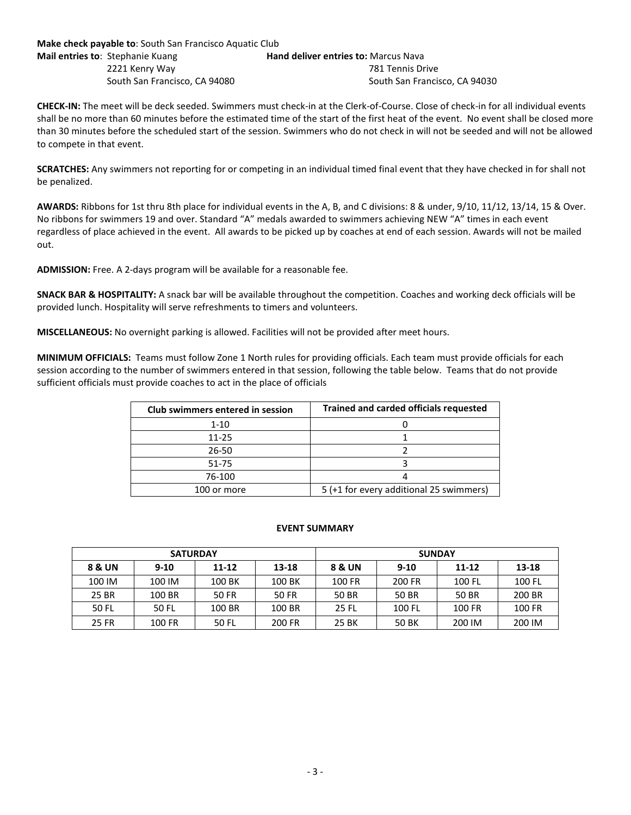**Make check payable to**: South San Francisco Aquatic Club **Mail entries to: Stephanie Kuang Hand deliver entries to: Marcus Nava** 2221 Kenry Way 781 Tennis Drive South San Francisco, CA 94080South San Francisco, CA 94030

**CHECK-IN:** The meet will be deck seeded. Swimmers must check-in at the Clerk-of-Course. Close of check-in for all individual events shall be no more than 60 minutes before the estimated time of the start of the first heat of the event. No event shall be closed more than 30 minutes before the scheduled start of the session. Swimmers who do not check in will not be seeded and will not be allowed to compete in that event.

**SCRATCHES:** Any swimmers not reporting for or competing in an individual timed final event that they have checked in for shall not be penalized.

**AWARDS:** Ribbons for 1st thru 8th place for individual events in the A, B, and C divisions: 8 & under, 9/10, 11/12, 13/14, 15 & Over. No ribbons for swimmers 19 and over. Standard "A" medals awarded to swimmers achieving NEW "A" times in each event regardless of place achieved in the event. All awards to be picked up by coaches at end of each session. Awards will not be mailed out.

**ADMISSION:** Free. A 2-days program will be available for a reasonable fee.

**SNACK BAR & HOSPITALITY:** A snack bar will be available throughout the competition. Coaches and working deck officials will be provided lunch. Hospitality will serve refreshments to timers and volunteers.

**MISCELLANEOUS:** No overnight parking is allowed. Facilities will not be provided after meet hours.

**MINIMUM OFFICIALS:** Teams must follow Zone 1 North rules for providing officials. Each team must provide officials for each session according to the number of swimmers entered in that session, following the table below. Teams that do not provide sufficient officials must provide coaches to act in the place of officials

| Club swimmers entered in session | <b>Trained and carded officials requested</b> |  |  |  |  |  |
|----------------------------------|-----------------------------------------------|--|--|--|--|--|
| 1-10                             |                                               |  |  |  |  |  |
| $11 - 25$                        |                                               |  |  |  |  |  |
| $26 - 50$                        |                                               |  |  |  |  |  |
| 51-75                            |                                               |  |  |  |  |  |
| 76-100                           |                                               |  |  |  |  |  |
| 100 or more                      | 5 (+1 for every additional 25 swimmers)       |  |  |  |  |  |

## **EVENT SUMMARY**

| <b>SATURDAY</b> |          |           |        | <b>SUNDAY</b> |          |           |        |  |  |
|-----------------|----------|-----------|--------|---------------|----------|-----------|--------|--|--|
| 8 & UN          | $9 - 10$ | $11 - 12$ | 13-18  | 8 & UN        | $9 - 10$ | $11 - 12$ | 13-18  |  |  |
| 100 IM          | 100 IM   | 100 BK    | 100 BK | 100 FR        | 200 FR   | 100 FL    | 100 FL |  |  |
| 25 BR           | 100 BR   | 50 FR     | 50 FR  | 50 BR         | 50 BR    | 50 BR     | 200 BR |  |  |
| 50 FL           | 50 FL    | 100 BR    | 100 BR | 25 FL         | 100 FL   | 100 FR    | 100 FR |  |  |
| 25 FR           | 100 FR   | 50 FL     | 200 FR | 25 BK         | 50 BK    | 200 IM    | 200 IM |  |  |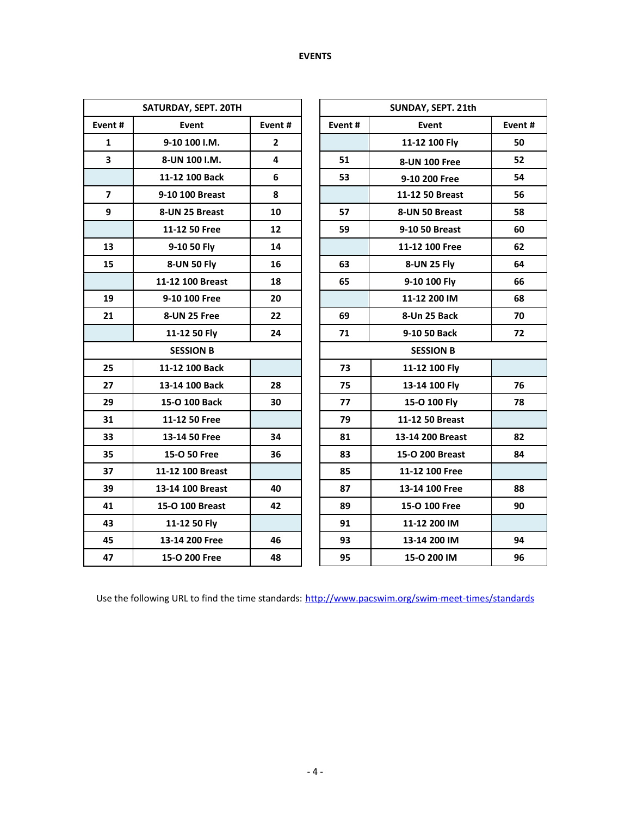| SATURDAY, SEPT. 20TH    |                  |              |  |                  |                      |    |  |  |  |  |
|-------------------------|------------------|--------------|--|------------------|----------------------|----|--|--|--|--|
| Event#                  | <b>Event</b>     | Event#       |  | Event#           | Event#               |    |  |  |  |  |
| 1                       | 9-10 100 I.M.    | $\mathbf{2}$ |  |                  | 11-12 100 Fly        | 50 |  |  |  |  |
| 3                       | 8-UN 100 I.M.    | 4            |  | 51               | <b>8-UN 100 Free</b> | 52 |  |  |  |  |
|                         | 11-12 100 Back   | 6            |  | 53               | 9-10 200 Free        | 54 |  |  |  |  |
| $\overline{\mathbf{z}}$ | 9-10 100 Breast  | 8            |  |                  | 11-12 50 Breast      | 56 |  |  |  |  |
| 9                       | 8-UN 25 Breast   | 10           |  | 57               | 8-UN 50 Breast       | 58 |  |  |  |  |
|                         | 11-12 50 Free    | 12           |  | 59               | 9-10 50 Breast       | 60 |  |  |  |  |
| 13                      | 9-10 50 Fly      | 14           |  |                  | 11-12 100 Free       | 62 |  |  |  |  |
| 15                      | 8-UN 50 Fly      | 16           |  | 63               | 8-UN 25 Fly          | 64 |  |  |  |  |
|                         | 11-12 100 Breast | 18           |  | 65               | 9-10 100 Fly         | 66 |  |  |  |  |
| 19                      | 9-10 100 Free    | 20           |  |                  | 11-12 200 IM         | 68 |  |  |  |  |
| 21                      | 8-UN 25 Free     | 22           |  | 69               | 8-Un 25 Back         | 70 |  |  |  |  |
|                         | 11-12 50 Fly     | 24           |  | 71               | 9-10 50 Back         | 72 |  |  |  |  |
| <b>SESSION B</b>        |                  |              |  | <b>SESSION B</b> |                      |    |  |  |  |  |
| 25                      | 11-12 100 Back   |              |  | 73               | 11-12 100 Fly        |    |  |  |  |  |
| 27                      | 13-14 100 Back   | 28           |  | 75               | 13-14 100 Fly        | 76 |  |  |  |  |
| 29                      | 15-O 100 Back    | 30           |  | 77               | 15-O 100 Fly         | 78 |  |  |  |  |
| 31                      | 11-12 50 Free    |              |  | 79               | 11-12 50 Breast      |    |  |  |  |  |
| 33                      | 13-14 50 Free    | 34           |  | 81               | 13-14 200 Breast     | 82 |  |  |  |  |
| 35                      | 15-O 50 Free     | 36           |  | 83               | 15-O 200 Breast      | 84 |  |  |  |  |
| 37                      | 11-12 100 Breast |              |  | 85               | 11-12 100 Free       |    |  |  |  |  |
| 39                      | 13-14 100 Breast | 40           |  | 87               | 13-14 100 Free       | 88 |  |  |  |  |
| 41                      | 15-O 100 Breast  | 42           |  | 89               | 15-O 100 Free        | 90 |  |  |  |  |
| 43                      | 11-12 50 Fly     |              |  | 91               | 11-12 200 IM         |    |  |  |  |  |
| 45                      | 13-14 200 Free   | 46           |  | 93               | 13-14 200 IM         | 94 |  |  |  |  |
| 47                      | 15-O 200 Free    | 48           |  | 95               | 15-O 200 IM          | 96 |  |  |  |  |

Use the following URL to find the time standards: <http://www.pacswim.org/swim-meet-times/standards>